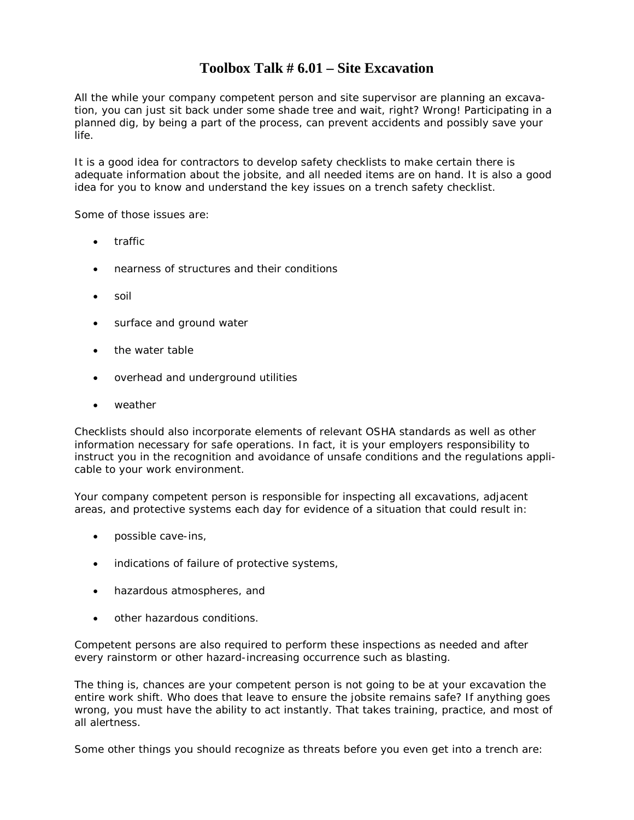## **Toolbox Talk # 6.01 – Site Excavation**

All the while your company competent person and site supervisor are planning an excavation, you can just sit back under some shade tree and wait, right? Wrong! Participating in a planned dig, by being a part of the process, can prevent accidents and possibly save your life.

It is a good idea for contractors to develop safety checklists to make certain there is adequate information about the jobsite, and all needed items are on hand. It is also a good idea for you to know and understand the key issues on a trench safety checklist.

Some of those issues are:

- traffic
- nearness of structures and their conditions
- soil
- surface and ground water
- the water table
- overhead and underground utilities
- weather

Checklists should also incorporate elements of relevant OSHA standards as well as other information necessary for safe operations. In fact, it is your employers responsibility to instruct you in the recognition and avoidance of unsafe conditions and the regulations applicable to your work environment.

Your company competent person is responsible for inspecting all excavations, adjacent areas, and protective systems each day for evidence of a situation that could result in:

- possible cave-ins,
- indications of failure of protective systems,
- hazardous atmospheres, and
- other hazardous conditions.

Competent persons are also required to perform these inspections as needed and after every rainstorm or other hazard-increasing occurrence such as blasting.

The thing is, chances are your competent person is not going to be at your excavation the entire work shift. Who does that leave to ensure the jobsite remains safe? If anything goes wrong, you must have the ability to act instantly. That takes training, practice, and most of all alertness.

Some other things you should recognize as threats before you even get into a trench are: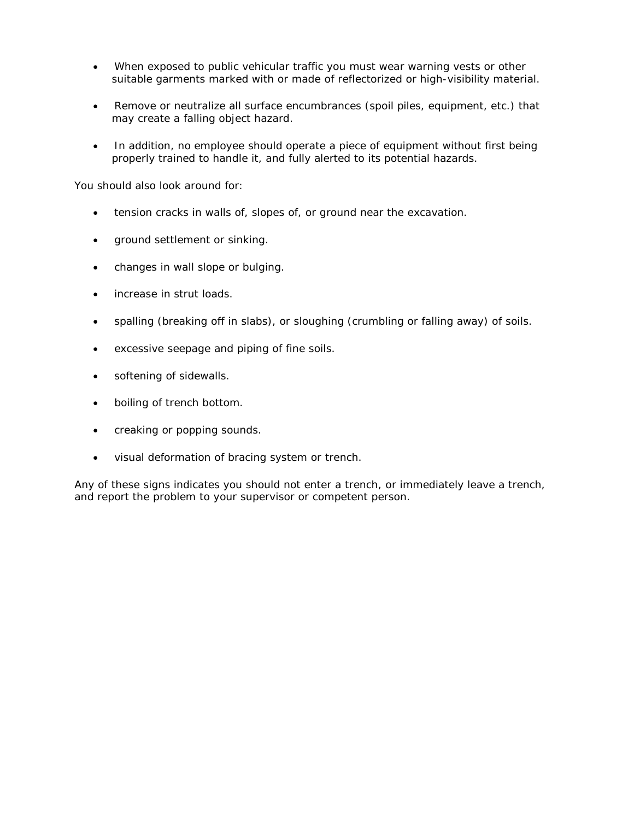- When exposed to public vehicular traffic you must wear warning vests or other suitable garments marked with or made of reflectorized or high-visibility material.
- Remove or neutralize all surface encumbrances (spoil piles, equipment, etc.) that may create a falling object hazard.
- In addition, no employee should operate a piece of equipment without first being properly trained to handle it, and fully alerted to its potential hazards.

You should also look around for:

- tension cracks in walls of, slopes of, or ground near the excavation.
- ground settlement or sinking.
- changes in wall slope or bulging.
- increase in strut loads.
- spalling (breaking off in slabs), or sloughing (crumbling or falling away) of soils.
- excessive seepage and piping of fine soils.
- softening of sidewalls.
- boiling of trench bottom.
- creaking or popping sounds.
- visual deformation of bracing system or trench.

Any of these signs indicates you should not enter a trench, or immediately leave a trench, and report the problem to your supervisor or competent person.